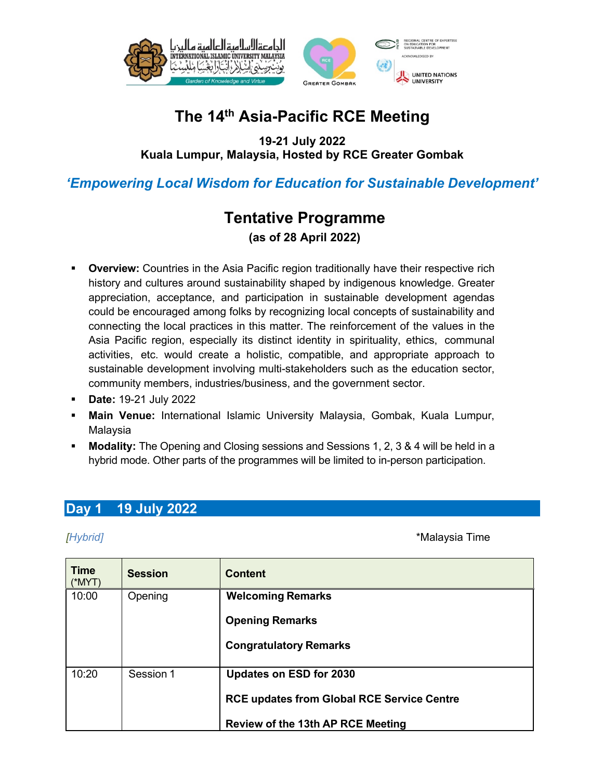

# **The 14th Asia-Pacific RCE Meeting**

**19-21 July 2022 Kuala Lumpur, Malaysia, Hosted by RCE Greater Gombak**

### *'Empowering Local Wisdom for Education for Sustainable Development'*

## **Tentative Programme (as of 28 April 2022)**

- **Overview:** Countries in the Asia Pacific region traditionally have their respective rich history and cultures around sustainability shaped by indigenous knowledge. Greater appreciation, acceptance, and participation in sustainable development agendas could be encouraged among folks by recognizing local concepts of sustainability and connecting the local practices in this matter. The reinforcement of the values in the Asia Pacific region, especially its distinct identity in spirituality, ethics, communal activities, etc. would create a holistic, compatible, and appropriate approach to sustainable development involving multi-stakeholders such as the education sector, community members, industries/business, and the government sector.
- § **Date:** 19-21 July 2022
- § **Main Venue:** International Islamic University Malaysia, Gombak, Kuala Lumpur, Malaysia
- § **Modality:** The Opening and Closing sessions and Sessions 1, 2, 3 & 4 will be held in a hybrid mode. Other parts of the programmes will be limited to in-person participation.

### **Day 1 19 July 2022**

*[Hybrid]* \*Malaysia Time

| <b>Time</b><br>$(*MYT)$ | <b>Session</b> | <b>Content</b>                                    |
|-------------------------|----------------|---------------------------------------------------|
| 10:00                   | Opening        | <b>Welcoming Remarks</b>                          |
|                         |                | <b>Opening Remarks</b>                            |
|                         |                | <b>Congratulatory Remarks</b>                     |
| 10:20                   | Session 1      | <b>Updates on ESD for 2030</b>                    |
|                         |                | <b>RCE updates from Global RCE Service Centre</b> |
|                         |                | <b>Review of the 13th AP RCE Meeting</b>          |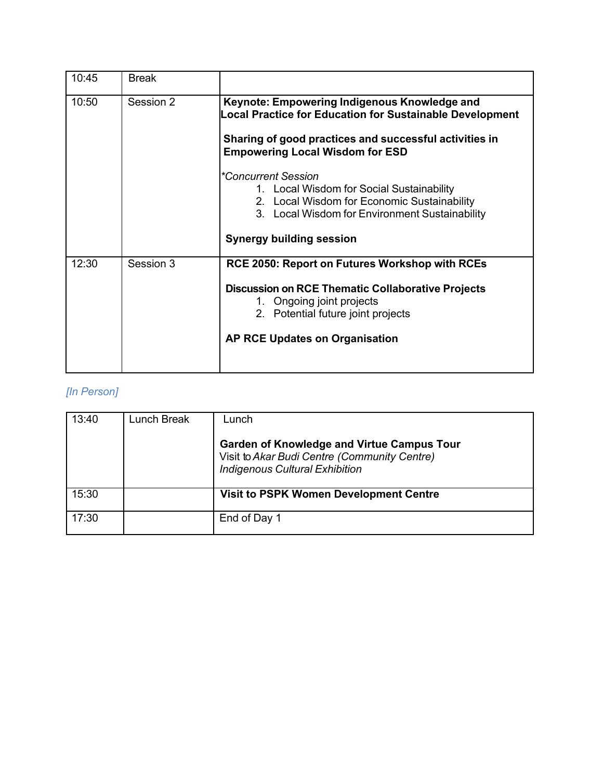| 10:45 | <b>Break</b> |                                                                                                                                                                                                                                                                                                                                                                                                                      |
|-------|--------------|----------------------------------------------------------------------------------------------------------------------------------------------------------------------------------------------------------------------------------------------------------------------------------------------------------------------------------------------------------------------------------------------------------------------|
| 10:50 | Session 2    | Keynote: Empowering Indigenous Knowledge and<br>Local Practice for Education for Sustainable Development<br>Sharing of good practices and successful activities in<br><b>Empowering Local Wisdom for ESD</b><br>*Concurrent Session<br>1. Local Wisdom for Social Sustainability<br>2. Local Wisdom for Economic Sustainability<br>3. Local Wisdom for Environment Sustainability<br><b>Synergy building session</b> |
| 12:30 | Session 3    | RCE 2050: Report on Futures Workshop with RCEs<br><b>Discussion on RCE Thematic Collaborative Projects</b><br>1. Ongoing joint projects<br>2. Potential future joint projects<br><b>AP RCE Updates on Organisation</b>                                                                                                                                                                                               |

## *[In Person]*

| 13:40 | Lunch Break | Lunch<br><b>Garden of Knowledge and Virtue Campus Tour</b><br>Visit to Akar Budi Centre (Community Centre)<br><b>Indigenous Cultural Exhibition</b> |
|-------|-------------|-----------------------------------------------------------------------------------------------------------------------------------------------------|
| 15:30 |             | <b>Visit to PSPK Women Development Centre</b>                                                                                                       |
| 17:30 |             | End of Day 1                                                                                                                                        |